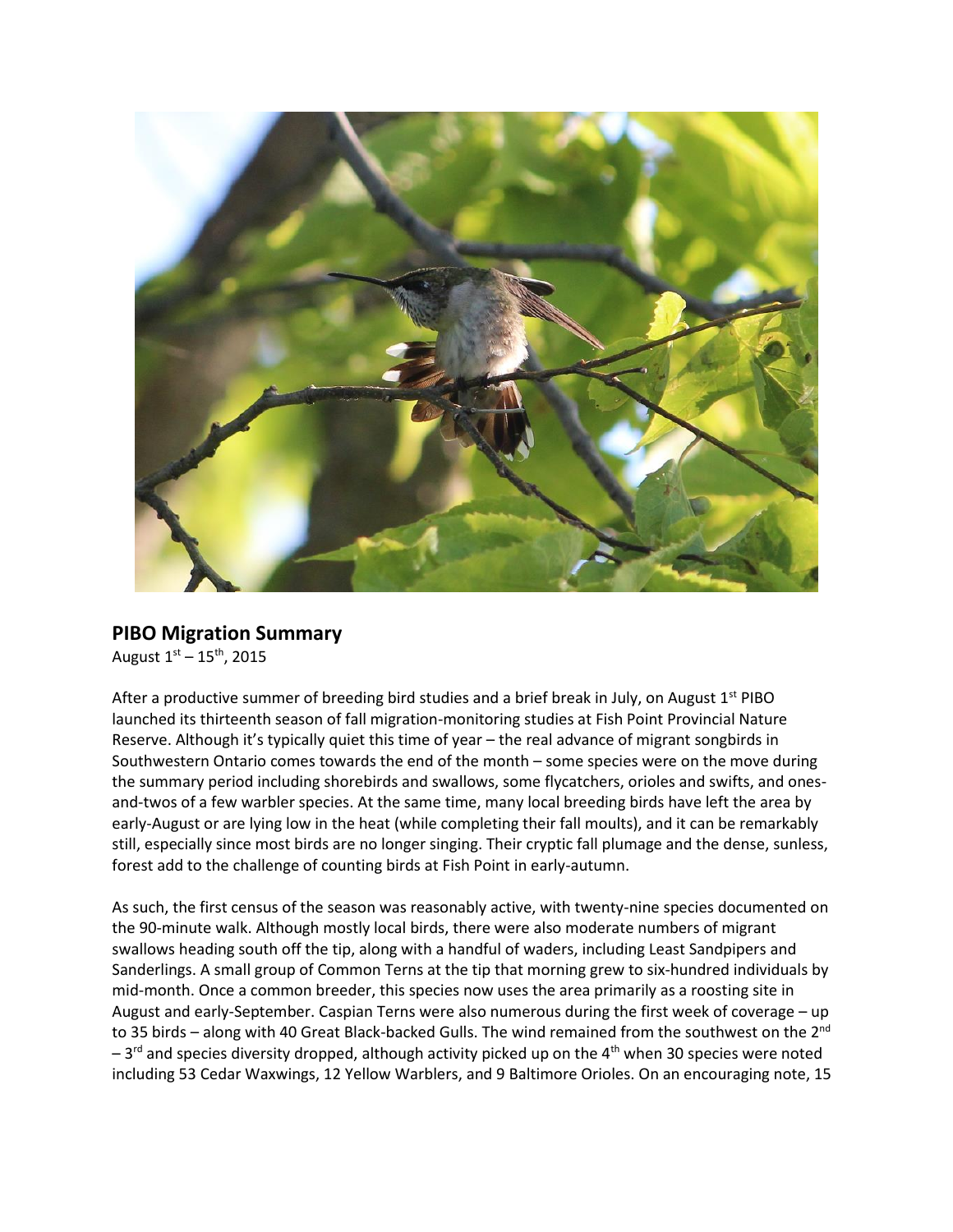

## **PIBO Migration Summary**

August  $1^{st} - 15^{th}$ , 2015

After a productive summer of breeding bird studies and a brief break in July, on August 1<sup>st</sup> PIBO launched its thirteenth season of fall migration-monitoring studies at Fish Point Provincial Nature Reserve. Although it's typically quiet this time of year – the real advance of migrant songbirds in Southwestern Ontario comes towards the end of the month – some species were on the move during the summary period including shorebirds and swallows, some flycatchers, orioles and swifts, and onesand-twos of a few warbler species. At the same time, many local breeding birds have left the area by early-August or are lying low in the heat (while completing their fall moults), and it can be remarkably still, especially since most birds are no longer singing. Their cryptic fall plumage and the dense, sunless, forest add to the challenge of counting birds at Fish Point in early-autumn.

As such, the first census of the season was reasonably active, with twenty-nine species documented on the 90-minute walk. Although mostly local birds, there were also moderate numbers of migrant swallows heading south off the tip, along with a handful of waders, including Least Sandpipers and Sanderlings. A small group of Common Terns at the tip that morning grew to six-hundred individuals by mid-month. Once a common breeder, this species now uses the area primarily as a roosting site in August and early-September. Caspian Terns were also numerous during the first week of coverage – up to 35 birds – along with 40 Great Black-backed Gulls. The wind remained from the southwest on the 2<sup>nd</sup>  $-3<sup>rd</sup>$  and species diversity dropped, although activity picked up on the 4<sup>th</sup> when 30 species were noted including 53 Cedar Waxwings, 12 Yellow Warblers, and 9 Baltimore Orioles. On an encouraging note, 15